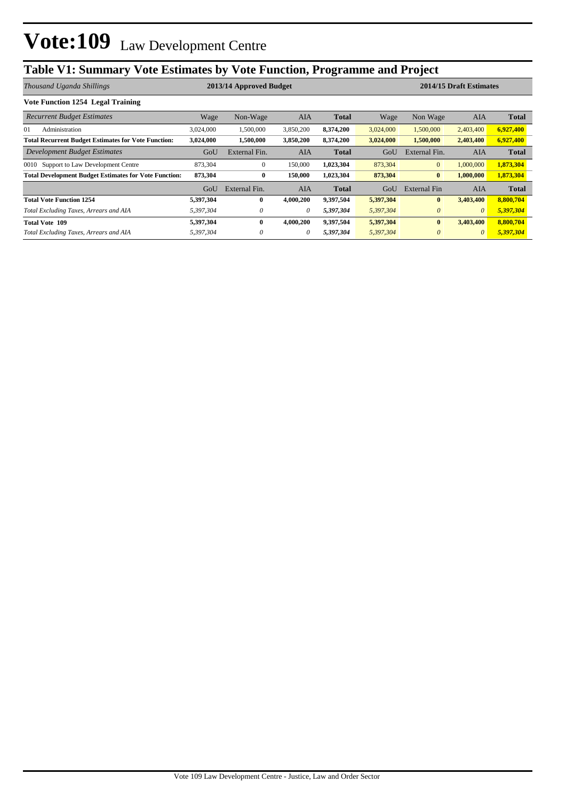# Vote: 109 Law Development Centre

# **Table V1: Summary Vote Estimates by Vote Function, Programme and Project**

| Thousand Uganda Shillings                                    | 2013/14 Approved Budget |               |           |              | 2014/15 Draft Estimates |               |            |              |
|--------------------------------------------------------------|-------------------------|---------------|-----------|--------------|-------------------------|---------------|------------|--------------|
| Vote Function 1254 Legal Training                            |                         |               |           |              |                         |               |            |              |
| <b>Recurrent Budget Estimates</b>                            | Wage                    | Non-Wage      | AIA       | <b>Total</b> | Wage                    | Non Wage      | <b>AIA</b> | <b>Total</b> |
| 01<br>Administration                                         | 3,024,000               | 1,500,000     | 3,850,200 | 8,374,200    | 3,024,000               | 1,500,000     | 2,403,400  | 6,927,400    |
| <b>Total Recurrent Budget Estimates for Vote Function:</b>   | 3,024,000               | 1,500,000     | 3,850,200 | 8,374,200    | 3,024,000               | 1,500,000     | 2,403,400  | 6,927,400    |
| Development Budget Estimates                                 | GoU                     | External Fin. | AIA       | <b>Total</b> | GoU                     | External Fin. | <b>AIA</b> | <b>Total</b> |
| 0010 Support to Law Development Centre                       | 873,304                 | $\mathbf{0}$  | 150,000   | 1,023,304    | 873,304                 | $\mathbf{0}$  | 1,000,000  | 1,873,304    |
| <b>Total Development Budget Estimates for Vote Function:</b> | 873,304                 | $\bf{0}$      | 150,000   | 1,023,304    | 873,304                 | $\bf{0}$      | 1,000,000  | 1,873,304    |
|                                                              | GoU                     | External Fin. | AIA       | <b>Total</b> | GoU                     | External Fin  | AIA        | <b>Total</b> |
| <b>Total Vote Function 1254</b>                              | 5,397,304               | $\mathbf{0}$  | 4,000,200 | 9,397,504    | 5,397,304               | $\bf{0}$      | 3,403,400  | 8,800,704    |
| Total Excluding Taxes, Arrears and AIA                       | 5,397,304               | $\theta$      | 0         | 5,397,304    | 5,397,304               | $\theta$      | $\theta$   | 5,397,304    |
| <b>Total Vote 109</b>                                        | 5,397,304               | $\bf{0}$      | 4,000,200 | 9,397,504    | 5,397,304               | $\bf{0}$      | 3,403,400  | 8,800,704    |
| Total Excluding Taxes, Arrears and AIA                       | 5,397,304               | $\theta$      | 0         | 5,397,304    | 5,397,304               | $\theta$      | $\theta$   | 5,397,304    |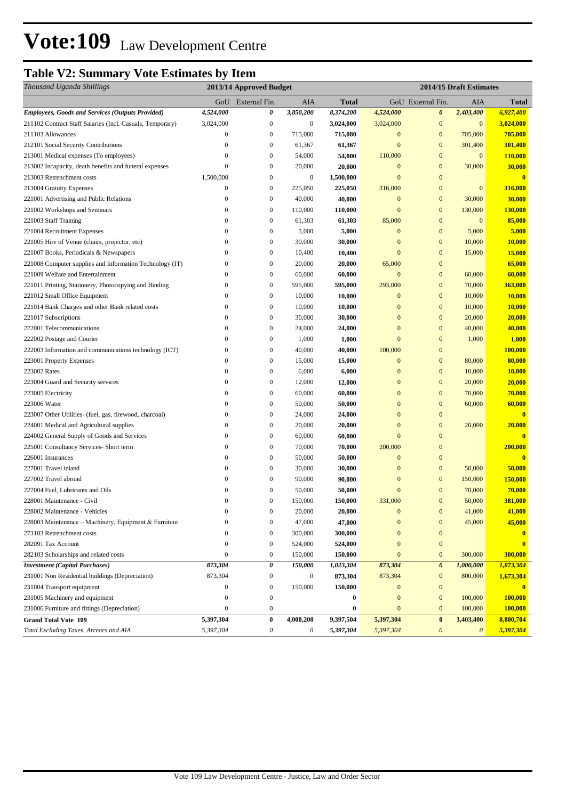## **Table V2: Summary Vote Estimates by Item**

| Thousand Uganda Shillings                                 | 2013/14 Approved Budget |                   |                  |               | 2014/15 Draft Estimates |                       |                       |              |
|-----------------------------------------------------------|-------------------------|-------------------|------------------|---------------|-------------------------|-----------------------|-----------------------|--------------|
|                                                           |                         | GoU External Fin. | AIA              | <b>Total</b>  |                         | GoU External Fin.     | AIA                   | Total        |
| <b>Employees, Goods and Services (Outputs Provided)</b>   | 4,524,000               | 0                 | 3,850,200        | 8,374,200     | 4,524,000               | 0                     | 2,403,400             | 6,927,400    |
| 211102 Contract Staff Salaries (Incl. Casuals, Temporary) | 3,024,000               | $\boldsymbol{0}$  | $\boldsymbol{0}$ | 3,024,000     | 3,024,000               | $\boldsymbol{0}$      | $\mathbf{0}$          | 3,024,000    |
| 211103 Allowances                                         | $\boldsymbol{0}$        | $\boldsymbol{0}$  | 715,080          | 715,080       | $\boldsymbol{0}$        | $\mathbf{0}$          | 705,000               | 705,000      |
| 212101 Social Security Contributions                      | $\overline{0}$          | $\boldsymbol{0}$  | 61,367           | 61,367        | $\mathbf{0}$            | $\mathbf{0}$          | 301,400               | 301,400      |
| 213001 Medical expenses (To employees)                    | $\mathbf{0}$            | $\boldsymbol{0}$  | 54,000           | 54,000        | 110,000                 | $\mathbf{0}$          | $\bf{0}$              | 110,000      |
| 213002 Incapacity, death benefits and funeral expenses    | $\mathbf{0}$            | $\boldsymbol{0}$  | 20,000           | 20,000        | $\mathbf{0}$            | $\bf{0}$              | 30,000                | 30,000       |
| 213003 Retrenchment costs                                 | 1,500,000               | $\boldsymbol{0}$  | $\boldsymbol{0}$ | 1,500,000     | $\mathbf{0}$            | $\mathbf{0}$          |                       | $\mathbf{0}$ |
| 213004 Gratuity Expenses                                  | $\boldsymbol{0}$        | $\boldsymbol{0}$  | 225,050          | 225,050       | 316,000                 | $\bf{0}$              | $\mathbf{0}$          | 316,000      |
| 221001 Advertising and Public Relations                   | $\boldsymbol{0}$        | $\bf{0}$          | 40,000           | 40,000        | $\boldsymbol{0}$        | $\boldsymbol{0}$      | 30,000                | 30,000       |
| 221002 Workshops and Seminars                             | $\boldsymbol{0}$        | $\boldsymbol{0}$  | 110,000          | 110,000       | $\mathbf{0}$            | $\bf{0}$              | 130,000               | 130,000      |
| 221003 Staff Training                                     | $\boldsymbol{0}$        | $\boldsymbol{0}$  | 61,303           | 61,303        | 85,000                  | $\mathbf{0}$          | $\mathbf{0}$          | 85,000       |
| 221004 Recruitment Expenses                               | $\boldsymbol{0}$        | $\boldsymbol{0}$  | 5,000            | 5,000         | $\mathbf{0}$            | $\bf{0}$              | 5,000                 | 5,000        |
| 221005 Hire of Venue (chairs, projector, etc)             | $\mathbf{0}$            | $\boldsymbol{0}$  | 30,000           | 30,000        | $\mathbf{0}$            | $\mathbf{0}$          | 10,000                | 10,000       |
| 221007 Books, Periodicals & Newspapers                    | $\mathbf{0}$            | $\boldsymbol{0}$  | 10,400           | 10,400        | $\mathbf{0}$            | $\mathbf{0}$          | 15,000                | 15,000       |
| 221008 Computer supplies and Information Technology (IT)  | $\mathbf{0}$            | $\boldsymbol{0}$  | 20,000           | 20,000        | 65,000                  | $\mathbf{0}$          |                       | 65,000       |
| 221009 Welfare and Entertainment                          | $\mathbf{0}$            | $\boldsymbol{0}$  | 60,000           | 60,000        | $\mathbf{0}$            | $\mathbf{0}$          | 60,000                | 60,000       |
| 221011 Printing, Stationery, Photocopying and Binding     | $\boldsymbol{0}$        | $\boldsymbol{0}$  | 595,000          | 595,000       | 293,000                 | $\boldsymbol{0}$      | 70,000                | 363,000      |
| 221012 Small Office Equipment                             | $\boldsymbol{0}$        | $\boldsymbol{0}$  | 10,000           | 10,000        | $\boldsymbol{0}$        | $\mathbf{0}$          | 10,000                | 10,000       |
| 221014 Bank Charges and other Bank related costs          | $\boldsymbol{0}$        | $\boldsymbol{0}$  | 10,000           | 10,000        | $\boldsymbol{0}$        | $\mathbf{0}$          | 10,000                | 10,000       |
| 221017 Subscriptions                                      | $\boldsymbol{0}$        | $\boldsymbol{0}$  | 30,000           | 30,000        | $\boldsymbol{0}$        | $\mathbf{0}$          | 20,000                | 20,000       |
| 222001 Telecommunications                                 | $\boldsymbol{0}$        | $\boldsymbol{0}$  | 24,000           | <b>24,000</b> | $\mathbf{0}$            | $\bf{0}$              | 40,000                | 40,000       |
| 222002 Postage and Courier                                | $\mathbf{0}$            | $\boldsymbol{0}$  | 1,000            | 1,000         | $\mathbf{0}$            | $\bf{0}$              | 1,000                 | 1,000        |
| 222003 Information and communications technology (ICT)    | $\boldsymbol{0}$        | $\boldsymbol{0}$  | 40,000           | 40,000        | 100,000                 | $\mathbf{0}$          |                       | 100,000      |
| 223001 Property Expenses                                  | $\mathbf{0}$            | $\bf{0}$          | 15,000           | 15,000        | $\mathbf{0}$            | $\mathbf{0}$          | 80,000                | 80,000       |
| 223002 Rates                                              | $\mathbf{0}$            | $\boldsymbol{0}$  | 6,000            | 6,000         | $\mathbf{0}$            | $\mathbf{0}$          | 10,000                | 10,000       |
| 223004 Guard and Security services                        | $\boldsymbol{0}$        | $\boldsymbol{0}$  | 12,000           | 12,000        | $\mathbf{0}$            | $\mathbf{0}$          | 20,000                | 20,000       |
| 223005 Electricity                                        | $\mathbf{0}$            | $\boldsymbol{0}$  | 60,000           | 60,000        | $\mathbf{0}$            | $\boldsymbol{0}$      | 70,000                | 70,000       |
| 223006 Water                                              | $\boldsymbol{0}$        | $\bf{0}$          | 50,000           | 50,000        | $\mathbf{0}$            | $\bf{0}$              | 60,000                | 60,000       |
| 223007 Other Utilities- (fuel, gas, firewood, charcoal)   | $\mathbf{0}$            | $\boldsymbol{0}$  | 24,000           | 24,000        | $\mathbf{0}$            | $\mathbf{0}$          |                       | $\mathbf{0}$ |
| 224001 Medical and Agricultural supplies                  | $\boldsymbol{0}$        | $\boldsymbol{0}$  | 20,000           | 20,000        | $\mathbf{0}$            | $\mathbf{0}$          | 20,000                | 20,000       |
| 224002 General Supply of Goods and Services               | $\boldsymbol{0}$        | $\boldsymbol{0}$  | 60,000           | 60,000        | $\mathbf{0}$            | $\bf{0}$              |                       | $\mathbf{0}$ |
| 225001 Consultancy Services- Short term                   | $\mathbf{0}$            | $\boldsymbol{0}$  | 70,000           | 70,000        | 200,000                 | $\mathbf{0}$          |                       | 200,000      |
| 226001 Insurances                                         | $\mathbf{0}$            | $\boldsymbol{0}$  | 50,000           | 50,000        | $\mathbf{0}$            | $\mathbf{0}$          |                       | $\mathbf{0}$ |
| 227001 Travel inland                                      | $\mathbf{0}$            | $\boldsymbol{0}$  | 30,000           | 30,000        | $\boldsymbol{0}$        | $\mathbf{0}$          | 50,000                | 50,000       |
| 227002 Travel abroad                                      | $\boldsymbol{0}$        | $\boldsymbol{0}$  | 90,000           | 90,000        | $\mathbf{0}$            | $\mathbf{0}$          | 150,000               | 150,000      |
| 227004 Fuel, Lubricants and Oils                          | 0                       | $\boldsymbol{0}$  | 50,000           | 50,000        | $\mathbf{0}$            | $\mathbf{0}$          | 70,000                | 70,000       |
| 228001 Maintenance - Civil                                | $\Omega$                | $\boldsymbol{0}$  | 150,000          | 150,000       | 331,000                 | $\overline{0}$        | 50,000                | 381,000      |
| 228002 Maintenance - Vehicles                             | $\mathbf{0}$            | $\boldsymbol{0}$  | 20,000           | 20,000        | $\mathbf{0}$            | $\bf{0}$              | 41,000                | 41,000       |
| 228003 Maintenance - Machinery, Equipment & Furniture     | $\overline{0}$          | $\boldsymbol{0}$  | 47,000           | 47,000        | $\mathbf{0}$            | $\bf{0}$              | 45,000                | 45,000       |
| 273103 Retrenchment costs                                 | $\boldsymbol{0}$        | $\boldsymbol{0}$  | 300,000          | 300,000       | $\mathbf{0}$            | $\mathbf{0}$          |                       |              |
| 282091 Tax Account                                        | $\boldsymbol{0}$        | $\boldsymbol{0}$  | 524,000          | 524,000       | $\mathbf{0}$            | $\boldsymbol{0}$      |                       |              |
| 282103 Scholarships and related costs                     | $\mathbf{0}$            | $\mathbf{0}$      | 150,000          | 150,000       | $\mathbf{0}$            | $\mathbf{0}$          | 300,000               | 300,000      |
| <b>Investment</b> (Capital Purchases)                     | 873,304                 | $\pmb{\theta}$    | 150,000          | 1,023,304     | 873,304                 | $\boldsymbol{\theta}$ | 1,000,000             | 1,873,304    |
| 231001 Non Residential buildings (Depreciation)           | 873,304                 | $\boldsymbol{0}$  | $\boldsymbol{0}$ | 873,304       | 873,304                 | $\bf{0}$              | 800,000               | 1,673,304    |
| 231004 Transport equipment                                | $\boldsymbol{0}$        | $\boldsymbol{0}$  | 150,000          | 150,000       | $\mathbf{0}$            | $\bf{0}$              |                       | $\bf{0}$     |
| 231005 Machinery and equipment                            | $\boldsymbol{0}$        | $\boldsymbol{0}$  |                  | $\bf{0}$      | $\mathbf{0}$            | $\boldsymbol{0}$      | 100,000               | 100,000      |
| 231006 Furniture and fittings (Depreciation)              | $\overline{0}$          | $\boldsymbol{0}$  |                  | $\bf{0}$      | $\mathbf{0}$            | $\mathbf{0}$          | 100,000               | 100,000      |
| <b>Grand Total Vote 109</b>                               | 5,397,304               | $\boldsymbol{0}$  | 4,000,200        | 9,397,504     | 5,397,304               | $\bf{0}$              | 3,403,400             | 8,800,704    |
| Total Excluding Taxes, Arrears and AIA                    | 5,397,304               | $\theta$          | 0                | 5,397,304     | 5,397,304               | $\boldsymbol{\theta}$ | $\boldsymbol{\theta}$ | 5,397,304    |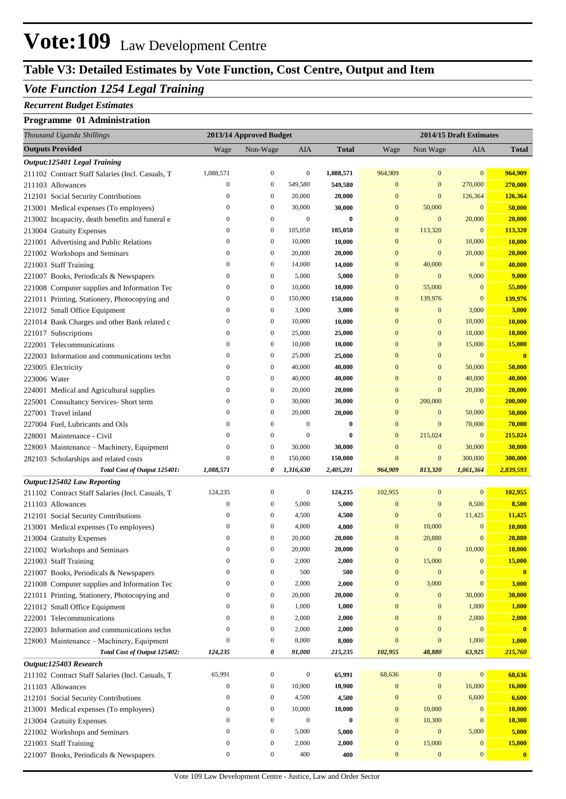# **Vote:109** Law Development Centre

## **Table V3: Detailed Estimates by Vote Function, Cost Centre, Output and Item**

### *Vote Function 1254 Legal Training*

#### *Recurrent Budget Estimates*

#### **Programme 01 Administration**

| Thousand Uganda Shillings                        | 2013/14 Approved Budget |                  |                  | 2014/15 Draft Estimates |                  |                  |                  |                  |
|--------------------------------------------------|-------------------------|------------------|------------------|-------------------------|------------------|------------------|------------------|------------------|
| <b>Outputs Provided</b>                          | Wage                    | Non-Wage         | AIA              | <b>Total</b>            | Wage             | Non Wage         | AIA              | <b>Total</b>     |
| Output:125401 Legal Training                     |                         |                  |                  |                         |                  |                  |                  |                  |
| 211102 Contract Staff Salaries (Incl. Casuals, T | 1,088,571               | $\boldsymbol{0}$ | $\boldsymbol{0}$ | 1,088,571               | 964,909          | $\mathbf{0}$     | $\mathbf{0}$     | 964,909          |
| 211103 Allowances                                | $\boldsymbol{0}$        | $\boldsymbol{0}$ | 549,580          | 549,580                 | $\mathbf{0}$     | $\bf{0}$         | 270,000          | 270,000          |
| 212101 Social Security Contributions             | $\boldsymbol{0}$        | $\boldsymbol{0}$ | 20,000           | 20,000                  | $\mathbf{0}$     | $\mathbf{0}$     | 126,364          | 126,364          |
| 213001 Medical expenses (To employees)           | $\boldsymbol{0}$        | $\boldsymbol{0}$ | 30,000           | 30,000                  | $\mathbf{0}$     | 50,000           | $\mathbf{0}$     | 50,000           |
| 213002 Incapacity, death benefits and funeral e  | $\boldsymbol{0}$        | $\boldsymbol{0}$ | $\boldsymbol{0}$ | $\bf{0}$                | $\mathbf{0}$     | $\bf{0}$         | 20,000           | 20,000           |
| 213004 Gratuity Expenses                         | $\mathbf{0}$            | $\boldsymbol{0}$ | 105,050          | 105,050                 | $\mathbf{0}$     | 113,320          | $\boldsymbol{0}$ | 113,320          |
| 221001 Advertising and Public Relations          | $\boldsymbol{0}$        | $\boldsymbol{0}$ | 10,000           | 10,000                  | $\mathbf{0}$     | $\boldsymbol{0}$ | 10,000           | 10,000           |
| 221002 Workshops and Seminars                    | $\boldsymbol{0}$        | $\boldsymbol{0}$ | 20,000           | 20,000                  | $\mathbf{0}$     | $\boldsymbol{0}$ | 20,000           | 20,000           |
| 221003 Staff Training                            | $\boldsymbol{0}$        | $\boldsymbol{0}$ | 14,000           | 14,000                  | $\mathbf{0}$     | 40,000           | $\mathbf{0}$     | 40,000           |
| 221007 Books, Periodicals & Newspapers           | $\boldsymbol{0}$        | $\boldsymbol{0}$ | 5,000            | 5,000                   | $\mathbf{0}$     | $\boldsymbol{0}$ | 9,000            | 9,000            |
| 221008 Computer supplies and Information Tec     | $\mathbf{0}$            | $\boldsymbol{0}$ | 10,000           | 10,000                  | $\mathbf{0}$     | 55,000           | $\mathbf{0}$     | 55,000           |
| 221011 Printing, Stationery, Photocopying and    | $\boldsymbol{0}$        | $\boldsymbol{0}$ | 150,000          | 150,000                 | $\mathbf{0}$     | 139,976          | $\mathbf{0}$     | 139,976          |
| 221012 Small Office Equipment                    | $\boldsymbol{0}$        | $\boldsymbol{0}$ | 3,000            | 3,000                   | $\mathbf{0}$     | $\bf{0}$         | 3,000            | 3,000            |
| 221014 Bank Charges and other Bank related c     | $\boldsymbol{0}$        | $\boldsymbol{0}$ | 10,000           | 10,000                  | $\mathbf{0}$     | $\boldsymbol{0}$ | 10,000           | 10,000           |
| 221017 Subscriptions                             | $\mathbf{0}$            | $\boldsymbol{0}$ | 25,000           | 25,000                  | $\mathbf{0}$     | $\boldsymbol{0}$ | 18,000           | <b>18,000</b>    |
| 222001 Telecommunications                        | $\boldsymbol{0}$        | $\boldsymbol{0}$ | 10,000           | 10,000                  | $\mathbf{0}$     | $\boldsymbol{0}$ | 15,000           | 15,000           |
| 222003 Information and communications techn      | $\boldsymbol{0}$        | $\boldsymbol{0}$ | 25,000           | 25,000                  | $\mathbf{0}$     | $\boldsymbol{0}$ | $\mathbf{0}$     | $\mathbf{0}$     |
| 223005 Electricity                               | $\boldsymbol{0}$        | $\boldsymbol{0}$ | 40,000           | 40,000                  | $\mathbf{0}$     | $\boldsymbol{0}$ | 50,000           | 50,000           |
| 223006 Water                                     | $\boldsymbol{0}$        | $\boldsymbol{0}$ | 40,000           | 40,000                  | $\mathbf{0}$     | $\boldsymbol{0}$ | 40,000           | 40,000           |
| 224001 Medical and Agricultural supplies         | $\boldsymbol{0}$        | $\boldsymbol{0}$ | 20,000           | 20,000                  | $\mathbf{0}$     | $\mathbf{0}$     | 20,000           | 20,000           |
| 225001 Consultancy Services- Short term          | $\boldsymbol{0}$        | $\boldsymbol{0}$ | 30,000           | 30,000                  | $\mathbf{0}$     | 200,000          | $\boldsymbol{0}$ | 200,000          |
| 227001 Travel inland                             | $\boldsymbol{0}$        | $\boldsymbol{0}$ | 20,000           | 20,000                  | $\mathbf{0}$     | $\boldsymbol{0}$ | 50,000           | 50,000           |
| 227004 Fuel, Lubricants and Oils                 | $\boldsymbol{0}$        | $\boldsymbol{0}$ | $\boldsymbol{0}$ | $\bf{0}$                | $\mathbf{0}$     | $\boldsymbol{0}$ | 70,000           | 70,000           |
| 228001 Maintenance - Civil                       | $\boldsymbol{0}$        | $\boldsymbol{0}$ | $\boldsymbol{0}$ | $\bf{0}$                | $\mathbf{0}$     | 215,024          | $\boldsymbol{0}$ | 215,024          |
| 228003 Maintenance - Machinery, Equipment        | $\mathbf{0}$            | $\boldsymbol{0}$ | 30,000           | 30,000                  | $\mathbf{0}$     | $\boldsymbol{0}$ | 30,000           | 30,000           |
| 282103 Scholarships and related costs            | $\boldsymbol{0}$        | $\boldsymbol{0}$ | 150,000          | 150,000                 | $\mathbf{0}$     | $\boldsymbol{0}$ | 300,000          | 300,000          |
| Total Cost of Output 125401:                     | 1,088,571               | 0                | 1,316,630        | 2,405,201               | 964,909          | 813,320          | 1,061,364        | 2,839,593        |
| Output:125402 Law Reporting                      |                         |                  |                  |                         |                  |                  |                  |                  |
| 211102 Contract Staff Salaries (Incl. Casuals, T | 124,235                 | $\boldsymbol{0}$ | $\boldsymbol{0}$ | 124,235                 | 102,955          | $\bf{0}$         | $\mathbf{0}$     | 102,955          |
| 211103 Allowances                                | $\boldsymbol{0}$        | $\boldsymbol{0}$ | 5,000            | 5,000                   | $\mathbf{0}$     | $\bf{0}$         | 8,500            | 8,500            |
| 212101 Social Security Contributions             | $\boldsymbol{0}$        | $\boldsymbol{0}$ | 4,500            | 4,500                   | $\mathbf{0}$     | $\boldsymbol{0}$ | 11,425           | 11,425           |
| 213001 Medical expenses (To employees)           | $\boldsymbol{0}$        | $\boldsymbol{0}$ | 4,000            | 4,000                   | $\mathbf{0}$     | 10,000           | $\boldsymbol{0}$ | 10,000           |
| 213004 Gratuity Expenses                         | $\boldsymbol{0}$        | $\boldsymbol{0}$ | 20,000           | 20,000                  | $\mathbf{0}$     | 20,880           | $\mathbf{0}$     | 20,880           |
| 221002 Workshops and Seminars                    | $\overline{0}$          | $\boldsymbol{0}$ | 20,000           | 20,000                  | $\mathbf{0}$     | $\mathbf{0}$     | 10,000           | 10,000           |
| 221003 Staff Training                            | $\boldsymbol{0}$        | $\boldsymbol{0}$ | 2,000            | 2,000                   | $\boldsymbol{0}$ | 15,000           | $\boldsymbol{0}$ | 15,000           |
| 221007 Books, Periodicals & Newspapers           | $\boldsymbol{0}$        | $\boldsymbol{0}$ | 500              | 500                     | $\mathbf{0}$     | $\boldsymbol{0}$ | $\mathbf{0}$     | $\mathbf{0}$     |
| 221008 Computer supplies and Information Tec     | $\boldsymbol{0}$        | $\boldsymbol{0}$ | 2,000            | 2,000                   | $\boldsymbol{0}$ | 3,000            | $\mathbf{0}$     | 3,000            |
| 221011 Printing, Stationery, Photocopying and    | $\boldsymbol{0}$        | $\boldsymbol{0}$ | 20,000           | 20,000                  | $\mathbf{0}$     | $\bf{0}$         | 30,000           | 30,000           |
| 221012 Small Office Equipment                    | $\boldsymbol{0}$        | $\boldsymbol{0}$ | 1,000            | 1,000                   | $\mathbf{0}$     | $\bf{0}$         | 1,000            | 1,000            |
| 222001 Telecommunications                        | $\boldsymbol{0}$        | $\boldsymbol{0}$ | 2,000            | 2,000                   | $\mathbf{0}$     | $\bf{0}$         | 2,000            | 2,000            |
| 222003 Information and communications techn      | $\boldsymbol{0}$        | $\boldsymbol{0}$ | 2,000            | 2,000                   | $\mathbf{0}$     | $\bf{0}$         | $\mathbf{0}$     | $\mathbf{0}$     |
| 228003 Maintenance - Machinery, Equipment        | $\boldsymbol{0}$        | $\boldsymbol{0}$ | 8,000            | 8,000                   | $\mathbf{0}$     | $\bf{0}$         | 1,000            | 1,000            |
| Total Cost of Output 125402:                     | 124,235                 | 0                | 91,000           | 215,235                 | 102,955          | 48,880           | 63,925           | 215,760          |
| Output:125403 Research                           |                         |                  |                  |                         |                  |                  |                  |                  |
| 211102 Contract Staff Salaries (Incl. Casuals, T | 65,991                  | $\boldsymbol{0}$ | $\boldsymbol{0}$ | 65,991                  | 68,636           | $\bf{0}$         | $\mathbf{0}$     | 68,636           |
| 211103 Allowances                                | $\boldsymbol{0}$        | $\boldsymbol{0}$ | 10,900           | 10,900                  | $\mathbf{0}$     | $\bf{0}$         | 16,000           | 16,000           |
| 212101 Social Security Contributions             | $\boldsymbol{0}$        | $\boldsymbol{0}$ | 4,500            | 4,500                   | $\mathbf{0}$     | $\boldsymbol{0}$ | 6,600            | 6,600            |
| 213001 Medical expenses (To employees)           | $\boldsymbol{0}$        | $\boldsymbol{0}$ | 10,000           | 10,000                  | $\boldsymbol{0}$ | 10,000           | $\mathbf{0}$     | 10,000           |
| 213004 Gratuity Expenses                         | $\boldsymbol{0}$        | $\boldsymbol{0}$ | $\boldsymbol{0}$ | $\bf{0}$                | $\boldsymbol{0}$ | 10,300           | $\boldsymbol{0}$ | 10,300           |
| 221002 Workshops and Seminars                    | $\boldsymbol{0}$        | $\boldsymbol{0}$ | 5,000            | 5,000                   | $\mathbf{0}$     | $\bf{0}$         | 5,000            | 5,000            |
| 221003 Staff Training                            | $\boldsymbol{0}$        | $\boldsymbol{0}$ | 2,000            | 2,000                   | $\boldsymbol{0}$ | 15,000           | $\bf{0}$         | 15,000           |
| 221007 Books, Periodicals & Newspapers           | $\boldsymbol{0}$        | $\boldsymbol{0}$ | 400              | 400                     | $\boldsymbol{0}$ | $\bf{0}$         | $\boldsymbol{0}$ | $\boldsymbol{0}$ |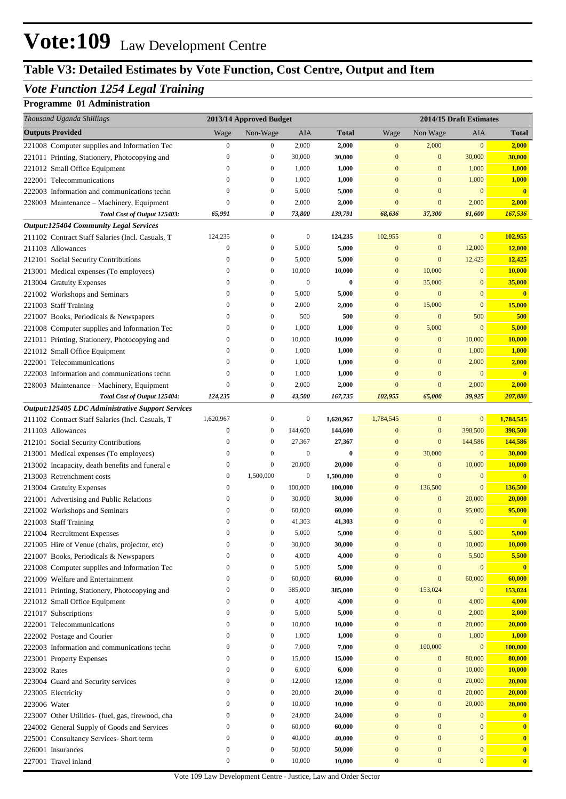# **Vote:109** Law Development Centre

## **Table V3: Detailed Estimates by Vote Function, Cost Centre, Output and Item**

## *Vote Function 1254 Legal Training*

### **Programme 01 Administration**

| Thousand Uganda Shillings                         | 2013/14 Approved Budget |                  |                  |              | 2014/15 Draft Estimates |                  |                  |                         |
|---------------------------------------------------|-------------------------|------------------|------------------|--------------|-------------------------|------------------|------------------|-------------------------|
| <b>Outputs Provided</b>                           | Wage                    | Non-Wage         | AIA              | <b>Total</b> | Wage                    | Non Wage         | AIA              | <b>Total</b>            |
| 221008 Computer supplies and Information Tec      | $\boldsymbol{0}$        | $\bf{0}$         | 2,000            | 2,000        | $\mathbf{0}$            | 2,000            | $\bf{0}$         | 2,000                   |
| 221011 Printing, Stationery, Photocopying and     | $\boldsymbol{0}$        | $\boldsymbol{0}$ | 30,000           | 30,000       | $\mathbf{0}$            | $\bf{0}$         | 30,000           | 30,000                  |
| 221012 Small Office Equipment                     | $\bf{0}$                | $\boldsymbol{0}$ | 1,000            | 1,000        | $\bf{0}$                | $\bf{0}$         | 1,000            | 1,000                   |
| 222001 Telecommunications                         | $\boldsymbol{0}$        | $\boldsymbol{0}$ | 1,000            | 1,000        | $\bf{0}$                | $\boldsymbol{0}$ | 1,000            | <b>1,000</b>            |
| 222003 Information and communications techn       | $\boldsymbol{0}$        | $\boldsymbol{0}$ | 5,000            | 5,000        | $\mathbf{0}$            | $\mathbf{0}$     | $\mathbf{0}$     | $\mathbf{0}$            |
| 228003 Maintenance - Machinery, Equipment         | $\bf{0}$                | $\boldsymbol{0}$ | 2,000            | 2,000        | $\mathbf{0}$            | $\mathbf{0}$     | 2,000            | 2,000                   |
| Total Cost of Output 125403:                      | 65,991                  | 0                | 73,800           | 139,791      | 68,636                  | 37,300           | 61,600           | 167,536                 |
| <b>Output:125404 Community Legal Services</b>     |                         |                  |                  |              |                         |                  |                  |                         |
| 211102 Contract Staff Salaries (Incl. Casuals, T  | 124,235                 | $\boldsymbol{0}$ | $\boldsymbol{0}$ | 124,235      | 102,955                 | $\bf{0}$         | $\mathbf{0}$     | 102,955                 |
| 211103 Allowances                                 | $\boldsymbol{0}$        | $\mathbf{0}$     | 5,000            | 5,000        | $\mathbf{0}$            | $\bf{0}$         | 12,000           | 12,000                  |
| 212101 Social Security Contributions              | $\bf{0}$                | $\boldsymbol{0}$ | 5,000            | 5,000        | $\mathbf{0}$            | $\mathbf{0}$     | 12,425           | 12,425                  |
| 213001 Medical expenses (To employees)            | $\bf{0}$                | $\boldsymbol{0}$ | 10,000           | 10,000       | $\mathbf{0}$            | 10,000           | $\mathbf{0}$     | 10,000                  |
| 213004 Gratuity Expenses                          | $\bf{0}$                | $\boldsymbol{0}$ | $\boldsymbol{0}$ | $\bf{0}$     | $\mathbf{0}$            | 35,000           | $\mathbf{0}$     | 35,000                  |
| 221002 Workshops and Seminars                     | $\bf{0}$                | $\mathbf{0}$     | 5,000            | 5,000        | $\mathbf{0}$            | $\boldsymbol{0}$ | $\mathbf{0}$     | $\mathbf{0}$            |
| 221003 Staff Training                             | $\bf{0}$                | $\boldsymbol{0}$ | 2,000            | 2,000        | $\mathbf{0}$            | 15,000           | $\mathbf{0}$     | 15,000                  |
| 221007 Books, Periodicals & Newspapers            | $\bf{0}$                | $\mathbf{0}$     | 500              | 500          | $\mathbf{0}$            | $\boldsymbol{0}$ | 500              | 500                     |
| 221008 Computer supplies and Information Tec      | $\bf{0}$                | $\boldsymbol{0}$ | 1,000            | 1,000        | $\mathbf{0}$            | 5,000            | $\mathbf{0}$     | 5,000                   |
| 221011 Printing, Stationery, Photocopying and     | $\bf{0}$                | $\boldsymbol{0}$ | 10,000           | 10,000       | $\mathbf{0}$            | $\bf{0}$         | 10,000           | 10,000                  |
| 221012 Small Office Equipment                     | $\bf{0}$                | $\boldsymbol{0}$ | 1,000            | 1,000        | $\mathbf{0}$            | $\mathbf{0}$     | 1,000            | 1,000                   |
| 222001 Telecommunications                         | $\mathbf{0}$            | $\boldsymbol{0}$ | 1,000            | 1,000        | $\mathbf{0}$            | $\bf{0}$         | 2,000            | 2,000                   |
| 222003 Information and communications techn       | $\bf{0}$                | $\boldsymbol{0}$ | 1,000            | 1,000        | $\mathbf{0}$            | $\mathbf{0}$     | $\mathbf{0}$     | $\overline{\mathbf{0}}$ |
| 228003 Maintenance - Machinery, Equipment         | $\mathbf{0}$            | $\boldsymbol{0}$ | 2,000            | 2,000        | $\bf{0}$                | $\mathbf{0}$     | 2,000            | 2,000                   |
| Total Cost of Output 125404:                      | 124,235                 | 0                | 43,500           | 167,735      | 102,955                 | 65,000           | 39,925           | 207,880                 |
| Output:125405 LDC Administrative Support Services |                         |                  |                  |              |                         |                  |                  |                         |
| 211102 Contract Staff Salaries (Incl. Casuals, T  | 1,620,967               | $\boldsymbol{0}$ | $\boldsymbol{0}$ | 1,620,967    | 1,784,545               | $\bf{0}$         | $\mathbf{0}$     | 1,784,545               |
| 211103 Allowances                                 | $\boldsymbol{0}$        | $\mathbf{0}$     | 144,600          | 144,600      | $\mathbf{0}$            | $\bf{0}$         | 398,500          | 398,500                 |
| 212101 Social Security Contributions              | $\bf{0}$                | $\mathbf{0}$     | 27,367           | 27,367       | $\mathbf{0}$            | $\mathbf{0}$     | 144,586          | 144,586                 |
| 213001 Medical expenses (To employees)            | $\bf{0}$                | $\boldsymbol{0}$ | $\boldsymbol{0}$ | $\bf{0}$     | $\mathbf{0}$            | 30,000           | $\mathbf{0}$     | 30,000                  |
| 213002 Incapacity, death benefits and funeral e   | $\bf{0}$                | $\mathbf{0}$     | 20,000           | 20,000       | $\mathbf{0}$            | $\boldsymbol{0}$ | 10,000           | 10,000                  |
| 213003 Retrenchment costs                         | $\bf{0}$                | 1,500,000        | $\boldsymbol{0}$ | 1,500,000    | $\mathbf{0}$            | $\mathbf{0}$     | $\mathbf{0}$     | $\mathbf{0}$            |
| 213004 Gratuity Expenses                          | $\bf{0}$                | $\boldsymbol{0}$ | 100,000          | 100,000      | $\mathbf{0}$            | 136,500          | $\boldsymbol{0}$ | 136,500                 |
| 221001 Advertising and Public Relations           | $\bf{0}$                | $\boldsymbol{0}$ | 30,000           | 30,000       | $\bf{0}$                | $\bf{0}$         | 20,000           | 20,000                  |
| 221002 Workshops and Seminars                     | $\mathbf{0}$            | $\mathbf{0}$     | 60,000           | 60,000       | $\bf{0}$                | $\mathbf{0}$     | 95,000           | 95,000                  |
| 221003 Staff Training                             | $\bf{0}$                | $\mathbf{0}$     | 41,303           | 41,303       | $\bf{0}$                | $\bf{0}$         | $\mathbf{0}$     | $\mathbf{0}$            |
| 221004 Recruitment Expenses                       | $\Omega$                | $\theta$         | 5,000            | 5,000        | $\Omega$                | $\mathbf{0}$     | 5,000            | 5,000                   |
| 221005 Hire of Venue (chairs, projector, etc)     | $\bf{0}$                | $\boldsymbol{0}$ | 30,000           | 30,000       | $\mathbf{0}$            | $\mathbf{0}$     | 10,000           | 10,000                  |
| 221007 Books, Periodicals & Newspapers            | $\boldsymbol{0}$        | $\mathbf{0}$     | 4,000            | 4,000        | $\bf{0}$                | $\mathbf{0}$     | 5,500            | 5,500                   |
| 221008 Computer supplies and Information Tec      | $\bf{0}$                | $\mathbf{0}$     | 5,000            | 5,000        | $\bf{0}$                | $\mathbf{0}$     | $\boldsymbol{0}$ | $\mathbf{0}$            |
| 221009 Welfare and Entertainment                  | $\bf{0}$                | $\boldsymbol{0}$ | 60,000           | 60,000       | $\boldsymbol{0}$        | $\bf{0}$         | 60,000           | 60,000                  |
| 221011 Printing, Stationery, Photocopying and     | $\bf{0}$                | $\mathbf{0}$     | 385,000          | 385,000      | $\mathbf{0}$            | 153,024          | $\mathbf{0}$     | 153,024                 |
| 221012 Small Office Equipment                     | $\bf{0}$                | $\mathbf{0}$     | 4,000            | 4,000        | $\mathbf{0}$            | $\mathbf{0}$     | 4,000            | 4,000                   |
| 221017 Subscriptions                              | $\bf{0}$                | $\mathbf{0}$     | 5,000            | 5,000        | $\mathbf{0}$            | $\bf{0}$         | 2,000            | 2,000                   |
| 222001 Telecommunications                         | $\bf{0}$                | $\boldsymbol{0}$ | 10,000           | 10,000       | $\bf{0}$                | $\bf{0}$         | 20,000           | 20,000                  |
| 222002 Postage and Courier                        | $\bf{0}$                | $\mathbf{0}$     | 1,000            | 1,000        | $\bf{0}$                | $\mathbf{0}$     | 1,000            | 1,000                   |
| 222003 Information and communications techn       | $\bf{0}$                | $\mathbf{0}$     | 7,000            | 7,000        | $\mathbf{0}$            | 100,000          | $\mathbf{0}$     | 100,000                 |
| 223001 Property Expenses                          | $\bf{0}$                | $\boldsymbol{0}$ | 15,000           | 15,000       | $\mathbf{0}$            | $\mathbf{0}$     | 80,000           | 80,000                  |
| 223002 Rates                                      | $\bf{0}$                | $\mathbf{0}$     | 6,000            | 6,000        | $\bf{0}$                | $\bf{0}$         | 10,000           | 10,000                  |
| 223004 Guard and Security services                | $\bf{0}$                | $\mathbf{0}$     | 12,000           | 12,000       | $\bf{0}$                | $\bf{0}$         | 20,000           | 20,000                  |
| 223005 Electricity                                | $\bf{0}$                | $\mathbf{0}$     | 20,000           | 20,000       | $\bf{0}$                | $\mathbf{0}$     | 20,000           | 20,000                  |
| 223006 Water                                      | $\bf{0}$                | $\bf{0}$         | 10,000           | 10,000       | $\bf{0}$                | $\bf{0}$         | 20,000           | 20,000                  |
| 223007 Other Utilities- (fuel, gas, firewood, cha | $\bf{0}$                | $\mathbf{0}$     | 24,000           | 24,000       | $\bf{0}$                | $\mathbf{0}$     | $\mathbf{0}$     | $\mathbf{0}$            |
| 224002 General Supply of Goods and Services       | $\bf{0}$                | $\mathbf{0}$     | 60,000           | 60,000       | $\bf{0}$                | $\bf{0}$         | $\mathbf{0}$     | $\mathbf{0}$            |
| 225001 Consultancy Services- Short term           | $\bf{0}$                | $\mathbf{0}$     | 40,000           | 40,000       | $\bf{0}$                | $\mathbf{0}$     | $\mathbf{0}$     | $\mathbf{0}$            |
| 226001 Insurances                                 | $\bf{0}$                | $\boldsymbol{0}$ | 50,000           | 50,000       | $\bf{0}$                | $\bf{0}$         | $\mathbf{0}$     | $\bf{0}$                |
| 227001 Travel inland                              | $\boldsymbol{0}$        | $\boldsymbol{0}$ | 10,000           | 10,000       | $\mathbf{0}$            | $\bf{0}$         | $\bf{0}$         | $\mathbf{0}$            |